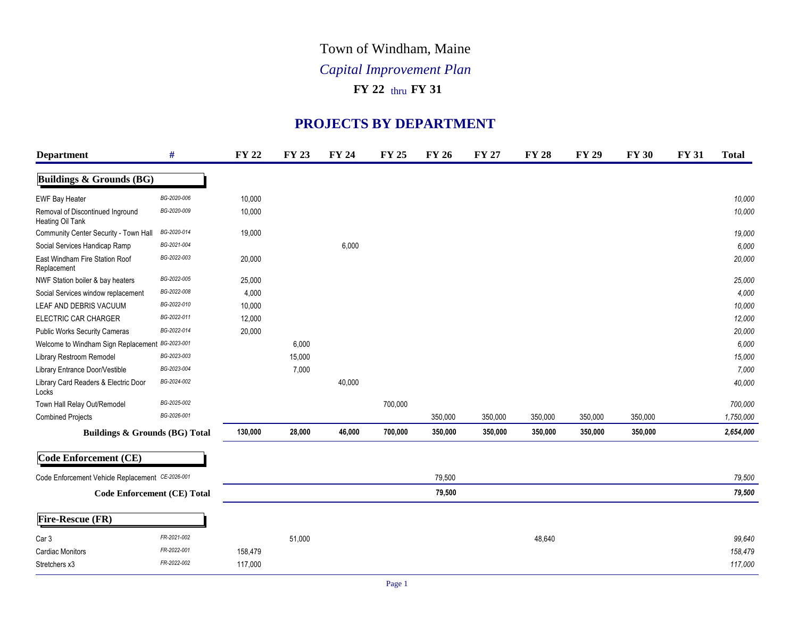## Town of Windham, Maine

## *Capital Improvement Plan*

## **FY 22** thru **FY 31**

## **PROJECTS BY DEPARTMENT**

| <b>Department</b>                                    | #              | <b>FY 22</b> | <b>FY 23</b> | <b>FY 24</b> | <b>FY 25</b> | <b>FY 26</b> | <b>FY 27</b> | <b>FY 28</b> | <b>FY 29</b> | <b>FY 30</b> | <b>FY 31</b> | <b>Total</b> |
|------------------------------------------------------|----------------|--------------|--------------|--------------|--------------|--------------|--------------|--------------|--------------|--------------|--------------|--------------|
| <b>Buildings &amp; Grounds (BG)</b>                  |                |              |              |              |              |              |              |              |              |              |              |              |
| <b>EWF Bay Heater</b>                                | BG-2020-006    | 10,000       |              |              |              |              |              |              |              |              |              | 10,000       |
| Removal of Discontinued Inground<br>Heating Oil Tank | BG-2020-009    | 10,000       |              |              |              |              |              |              |              |              |              | 10,000       |
| Community Center Security - Town Hall                | BG-2020-014    | 19,000       |              |              |              |              |              |              |              |              |              | 19,000       |
| Social Services Handicap Ramp                        | BG-2021-004    |              |              | 6,000        |              |              |              |              |              |              |              | 6,000        |
| East Windham Fire Station Roof<br>Replacement        | BG-2022-003    | 20,000       |              |              |              |              |              |              |              |              |              | 20,000       |
| NWF Station boiler & bay heaters                     | BG-2022-005    | 25,000       |              |              |              |              |              |              |              |              |              | 25,000       |
| Social Services window replacement                   | BG-2022-008    | 4,000        |              |              |              |              |              |              |              |              |              | 4,000        |
| LEAF AND DEBRIS VACUUM                               | BG-2022-010    | 10,000       |              |              |              |              |              |              |              |              |              | 10,000       |
| ELECTRIC CAR CHARGER                                 | BG-2022-011    | 12,000       |              |              |              |              |              |              |              |              |              | 12,000       |
| <b>Public Works Security Cameras</b>                 | BG-2022-014    | 20,000       |              |              |              |              |              |              |              |              |              | 20,000       |
| Welcome to Windham Sign Replacemer                   | 1t BG-2023-001 |              | 6,000        |              |              |              |              |              |              |              |              | 6,000        |
| Library Restroom Remodel                             | BG-2023-003    |              | 15,000       |              |              |              |              |              |              |              |              | 15,000       |
| Library Entrance Door/Vestible                       | BG-2023-004    |              | 7,000        |              |              |              |              |              |              |              |              | 7,000        |
| Library Card Readers & Electric Door<br>Locks        | BG-2024-002    |              |              | 40,000       |              |              |              |              |              |              |              | 40,000       |
| Town Hall Relay Out/Remodel                          | BG-2025-002    |              |              |              | 700,000      |              |              |              |              |              |              | 700,000      |
| <b>Combined Projects</b>                             | BG-2026-001    |              |              |              |              | 350,000      | 350,000      | 350,000      | 350,000      | 350,000      |              | 1,750,000    |
| <b>Buildings &amp; Grounds (BG) Total</b>            |                | 130,000      | 28,000       | 46,000       | 700,000      | 350,000      | 350,000      | 350,000      | 350,000      | 350,000      |              | 2,654,000    |
| Code Enforcement (CE)                                |                |              |              |              |              |              |              |              |              |              |              |              |
| Code Enforcement Vehicle Replacement CE-2026-001     |                |              |              |              |              | 79,500       |              |              |              |              |              | 79,500       |
| <b>Code Enforcement (CE) Total</b>                   |                |              |              |              |              | 79,500       |              |              |              |              |              | 79,500       |
| Fire-Rescue (FR)                                     |                |              |              |              |              |              |              |              |              |              |              |              |
| Car 3                                                | FR-2021-002    |              | 51,000       |              |              |              |              | 48,640       |              |              |              | 99,640       |
| <b>Cardiac Monitors</b>                              | FR-2022-001    | 158,479      |              |              |              |              |              |              |              |              |              | 158,479      |
| Stretchers x3                                        | FR-2022-002    | 117,000      |              |              |              |              |              |              |              |              |              | 117,000      |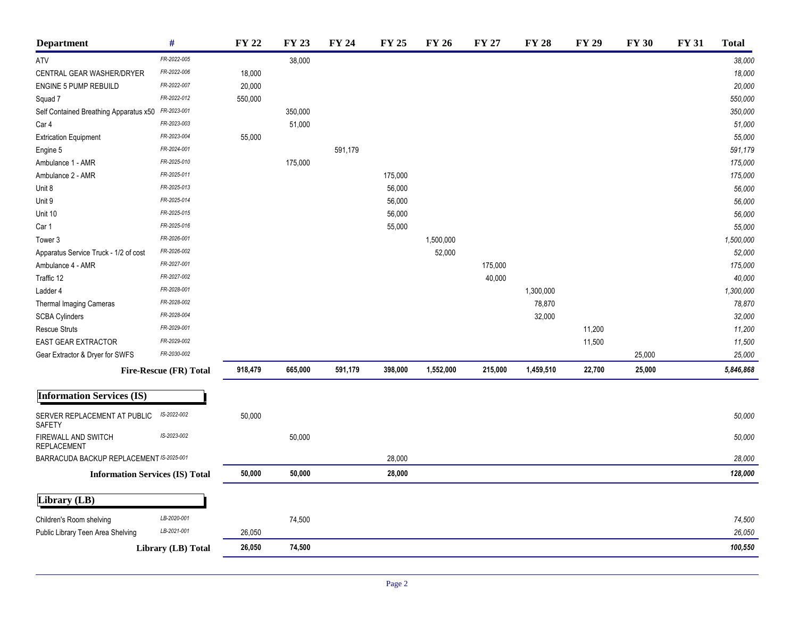| <b>Department</b>                         | $\#$                                   | <b>FY 22</b> | <b>FY 23</b> | <b>FY 24</b> | <b>FY 25</b> | <b>FY 26</b> | <b>FY 27</b> | <b>FY 28</b> | <b>FY 29</b> | <b>FY 30</b> | <b>FY 31</b> | <b>Total</b> |
|-------------------------------------------|----------------------------------------|--------------|--------------|--------------|--------------|--------------|--------------|--------------|--------------|--------------|--------------|--------------|
| ATV                                       | FR-2022-005                            |              | 38,000       |              |              |              |              |              |              |              |              | 38,000       |
| CENTRAL GEAR WASHER/DRYER                 | FR-2022-006                            | 18,000       |              |              |              |              |              |              |              |              |              | 18,000       |
| ENGINE 5 PUMP REBUILD                     | FR-2022-007                            | 20,000       |              |              |              |              |              |              |              |              |              | 20,000       |
| Squad 7                                   | FR-2022-012                            | 550,000      |              |              |              |              |              |              |              |              |              | 550,000      |
| Self Contained Breathing Apparatus x50    | FR-2023-001                            |              | 350,000      |              |              |              |              |              |              |              |              | 350,000      |
| Car 4                                     | FR-2023-003                            |              | 51,000       |              |              |              |              |              |              |              |              | 51,000       |
| <b>Extrication Equipment</b>              | FR-2023-004                            | 55,000       |              |              |              |              |              |              |              |              |              | 55,000       |
| Engine 5                                  | FR-2024-001                            |              |              | 591,179      |              |              |              |              |              |              |              | 591,179      |
| Ambulance 1 - AMR                         | FR-2025-010                            |              | 175,000      |              |              |              |              |              |              |              |              | 175,000      |
| Ambulance 2 - AMR                         | FR-2025-011                            |              |              |              | 175,000      |              |              |              |              |              |              | 175,000      |
| Unit 8                                    | FR-2025-013                            |              |              |              | 56,000       |              |              |              |              |              |              | 56,000       |
| Unit 9                                    | FR-2025-014                            |              |              |              | 56,000       |              |              |              |              |              |              | 56,000       |
| Unit 10                                   | FR-2025-015                            |              |              |              | 56,000       |              |              |              |              |              |              | 56,000       |
| Car 1                                     | FR-2025-016                            |              |              |              | 55,000       |              |              |              |              |              |              | 55,000       |
| Tower 3                                   | FR-2026-001                            |              |              |              |              | 1,500,000    |              |              |              |              |              | 1,500,000    |
| Apparatus Service Truck - 1/2 of cost     | FR-2026-002                            |              |              |              |              | 52,000       |              |              |              |              |              | 52,000       |
| Ambulance 4 - AMR                         | FR-2027-001                            |              |              |              |              |              | 175,000      |              |              |              |              | 175,000      |
| Traffic 12                                | FR-2027-002                            |              |              |              |              |              | 40,000       |              |              |              |              | 40,000       |
| Ladder 4                                  | FR-2028-001                            |              |              |              |              |              |              | 1,300,000    |              |              |              | 1,300,000    |
| Thermal Imaging Cameras                   | FR-2028-002                            |              |              |              |              |              |              | 78,870       |              |              |              | 78,870       |
| <b>SCBA Cylinders</b>                     | FR-2028-004                            |              |              |              |              |              |              | 32,000       |              |              |              | 32,000       |
| <b>Rescue Struts</b>                      | FR-2029-001                            |              |              |              |              |              |              |              | 11,200       |              |              | 11,200       |
| EAST GEAR EXTRACTOR                       | FR-2029-002                            |              |              |              |              |              |              |              | 11,500       |              |              | 11,500       |
| Gear Extractor & Dryer for SWFS           | FR-2030-002                            |              |              |              |              |              |              |              |              | 25,000       |              | 25,000       |
|                                           | Fire-Rescue (FR) Total                 | 918,479      | 665,000      | 591,179      | 398,000      | 1,552,000    | 215,000      | 1,459,510    | 22,700       | 25,000       |              | 5,846,868    |
| <b>Information Services (IS)</b>          |                                        |              |              |              |              |              |              |              |              |              |              |              |
|                                           | IS-2022-002                            |              |              |              |              |              |              |              |              |              |              |              |
| SERVER REPLACEMENT AT PUBLIC<br>SAFETY    |                                        | 50,000       |              |              |              |              |              |              |              |              |              | 50,000       |
| FIREWALL AND SWITCH<br><b>REPLACEMENT</b> | IS-2023-002                            |              | 50,000       |              |              |              |              |              |              |              |              | 50,000       |
| BARRACUDA BACKUP REPLACEMENT IS-2025-001  |                                        |              |              |              | 28,000       |              |              |              |              |              |              | 28,000       |
|                                           | <b>Information Services (IS) Total</b> | 50,000       | 50,000       |              | 28,000       |              |              |              |              |              |              | 128,000      |
| Library (LB)                              |                                        |              |              |              |              |              |              |              |              |              |              |              |
| Children's Room shelving                  | LB-2020-001                            |              | 74,500       |              |              |              |              |              |              |              |              | 74,500       |
| Public Library Teen Area Shelving         | LB-2021-001                            | 26,050       |              |              |              |              |              |              |              |              |              | 26,050       |
|                                           | Library (LB) Total                     | 26,050       | 74,500       |              |              |              |              |              |              |              |              | 100,550      |
|                                           |                                        |              |              |              |              |              |              |              |              |              |              |              |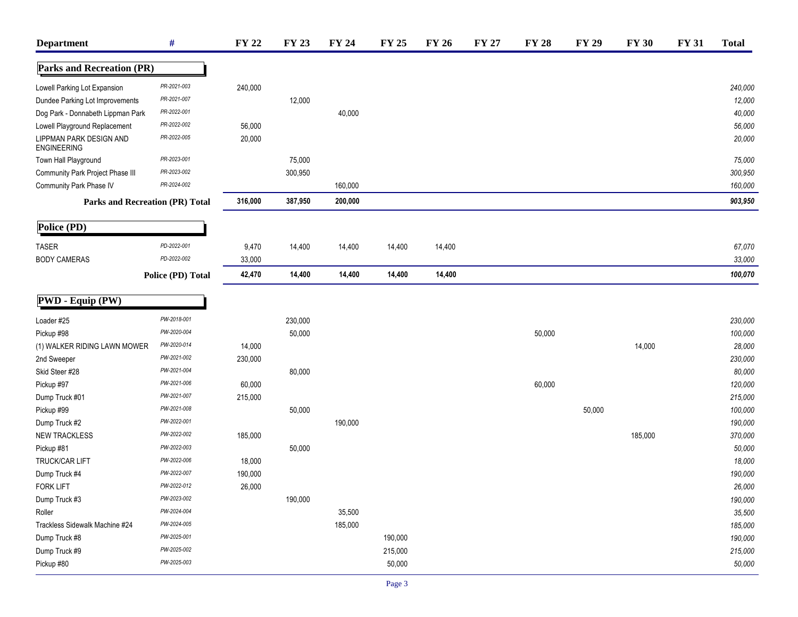| <b>Department</b>                             | $\#$                                   | <b>FY 22</b> | <b>FY 23</b> | <b>FY 24</b> | <b>FY 25</b> | <b>FY 26</b> | <b>FY 27</b> | <b>FY 28</b> | <b>FY 29</b> | <b>FY 30</b> | <b>FY 31</b> | <b>Total</b> |
|-----------------------------------------------|----------------------------------------|--------------|--------------|--------------|--------------|--------------|--------------|--------------|--------------|--------------|--------------|--------------|
| <b>Parks and Recreation (PR)</b>              |                                        |              |              |              |              |              |              |              |              |              |              |              |
| Lowell Parking Lot Expansion                  | PR-2021-003                            | 240,000      |              |              |              |              |              |              |              |              |              | 240,000      |
| Dundee Parking Lot Improvements               | PR-2021-007                            |              | 12,000       |              |              |              |              |              |              |              |              | 12,000       |
| Dog Park - Donnabeth Lippman Park             | PR-2022-001                            |              |              | 40,000       |              |              |              |              |              |              |              | 40,000       |
| Lowell Playground Replacement                 | PR-2022-002                            | 56,000       |              |              |              |              |              |              |              |              |              | 56,000       |
| LIPPMAN PARK DESIGN AND<br><b>ENGINEERING</b> | PR-2022-005                            | 20,000       |              |              |              |              |              |              |              |              |              | 20,000       |
| Town Hall Playground                          | PR-2023-001                            |              | 75,000       |              |              |              |              |              |              |              |              | 75,000       |
| Community Park Project Phase III              | PR-2023-002                            |              | 300,950      |              |              |              |              |              |              |              |              | 300,950      |
| Community Park Phase IV                       | PR-2024-002                            |              |              | 160,000      |              |              |              |              |              |              |              | 160,000      |
|                                               | <b>Parks and Recreation (PR) Total</b> | 316,000      | 387,950      | 200,000      |              |              |              |              |              |              |              | 903,950      |
| Police (PD)                                   |                                        |              |              |              |              |              |              |              |              |              |              |              |
| <b>TASER</b>                                  | PD-2022-001                            | 9,470        | 14,400       | 14,400       | 14,400       | 14,400       |              |              |              |              |              | 67,070       |
| <b>BODY CAMERAS</b>                           | PD-2022-002                            | 33,000       |              |              |              |              |              |              |              |              |              | 33,000       |
|                                               | Police (PD) Total                      | 42,470       | 14,400       | 14,400       | 14,400       | 14,400       |              |              |              |              |              | 100,070      |
| PWD - Equip (PW)                              |                                        |              |              |              |              |              |              |              |              |              |              |              |
| Loader #25                                    | PW-2018-001                            |              | 230,000      |              |              |              |              |              |              |              |              | 230,000      |
| Pickup #98                                    | PW-2020-004                            |              | 50,000       |              |              |              |              | 50,000       |              |              |              | 100,000      |
| (1) WALKER RIDING LAWN MOWER                  | PW-2020-014                            | 14,000       |              |              |              |              |              |              |              | 14,000       |              | 28,000       |
| 2nd Sweeper                                   | PW-2021-002                            | 230,000      |              |              |              |              |              |              |              |              |              | 230,000      |
| Skid Steer #28                                | PW-2021-004                            |              | 80,000       |              |              |              |              |              |              |              |              | 80,000       |
| Pickup #97                                    | PW-2021-006                            | 60,000       |              |              |              |              |              | 60,000       |              |              |              | 120,000      |
| Dump Truck #01                                | PW-2021-007                            | 215,000      |              |              |              |              |              |              |              |              |              | 215,000      |
| Pickup #99                                    | PW-2021-008                            |              | 50,000       |              |              |              |              |              | 50,000       |              |              | 100,000      |
| Dump Truck #2                                 | PW-2022-001                            |              |              | 190,000      |              |              |              |              |              |              |              | 190,000      |
| <b>NEW TRACKLESS</b>                          | PW-2022-002                            | 185,000      |              |              |              |              |              |              |              | 185,000      |              | 370,000      |
| Pickup #81                                    | PW-2022-003                            |              | 50,000       |              |              |              |              |              |              |              |              | 50,000       |
| TRUCK/CAR LIFT                                | PW-2022-006                            | 18,000       |              |              |              |              |              |              |              |              |              | 18,000       |
| Dump Truck #4                                 | PW-2022-007                            | 190,000      |              |              |              |              |              |              |              |              |              | 190,000      |
| <b>FORK LIFT</b>                              | PW-2022-012                            | 26,000       |              |              |              |              |              |              |              |              |              | 26,000       |
| Dump Truck #3                                 | PW-2023-002                            |              | 190,000      |              |              |              |              |              |              |              |              | 190,000      |
| Roller                                        | PW-2024-004                            |              |              | 35,500       |              |              |              |              |              |              |              | 35,500       |
| Trackless Sidewalk Machine #24                | PW-2024-005                            |              |              | 185,000      |              |              |              |              |              |              |              | 185,000      |
| Dump Truck #8                                 | PW-2025-001                            |              |              |              | 190,000      |              |              |              |              |              |              | 190,000      |
| Dump Truck #9                                 | PW-2025-002                            |              |              |              | 215,000      |              |              |              |              |              |              | 215,000      |
| Pickup #80                                    | PW-2025-003                            |              |              |              | 50,000       |              |              |              |              |              |              | 50,000       |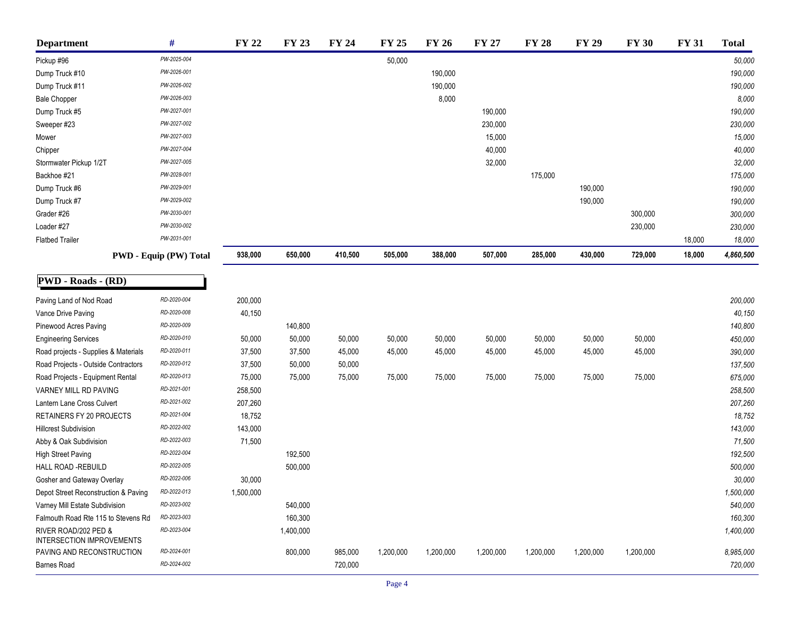| <b>Department</b>                                 | #                             | <b>FY 22</b> | <b>FY 23</b> | <b>FY 24</b> | <b>FY 25</b> | <b>FY 26</b> | <b>FY 27</b> | <b>FY 28</b> | <b>FY 29</b> | <b>FY 30</b> | <b>FY 31</b> | <b>Total</b> |
|---------------------------------------------------|-------------------------------|--------------|--------------|--------------|--------------|--------------|--------------|--------------|--------------|--------------|--------------|--------------|
| Pickup #96                                        | PW-2025-004                   |              |              |              | 50,000       |              |              |              |              |              |              | 50,000       |
| Dump Truck #10                                    | PW-2026-001                   |              |              |              |              | 190,000      |              |              |              |              |              | 190,000      |
| Dump Truck #11                                    | PW-2026-002                   |              |              |              |              | 190,000      |              |              |              |              |              | 190,000      |
| <b>Bale Chopper</b>                               | PW-2026-003                   |              |              |              |              | 8,000        |              |              |              |              |              | 8,000        |
| Dump Truck #5                                     | PW-2027-001                   |              |              |              |              |              | 190,000      |              |              |              |              | 190,000      |
| Sweeper #23                                       | PW-2027-002                   |              |              |              |              |              | 230,000      |              |              |              |              | 230,000      |
| Mower                                             | PW-2027-003                   |              |              |              |              |              | 15,000       |              |              |              |              | 15,000       |
| Chipper                                           | PW-2027-004                   |              |              |              |              |              | 40,000       |              |              |              |              | 40,000       |
| Stormwater Pickup 1/2T                            | PW-2027-005                   |              |              |              |              |              | 32,000       |              |              |              |              | 32,000       |
| Backhoe #21                                       | PW-2028-001                   |              |              |              |              |              |              | 175,000      |              |              |              | 175,000      |
| Dump Truck #6                                     | PW-2029-001                   |              |              |              |              |              |              |              | 190,000      |              |              | 190,000      |
| Dump Truck #7                                     | PW-2029-002                   |              |              |              |              |              |              |              | 190,000      |              |              | 190,000      |
| Grader #26                                        | PW-2030-001                   |              |              |              |              |              |              |              |              | 300,000      |              | 300,000      |
| Loader #27                                        | PW-2030-002                   |              |              |              |              |              |              |              |              | 230,000      |              | 230,000      |
| <b>Flatbed Trailer</b>                            | PW-2031-001                   |              |              |              |              |              |              |              |              |              | 18,000       | 18,000       |
|                                                   | <b>PWD - Equip (PW) Total</b> | 938,000      | 650,000      | 410,500      | 505,000      | 388,000      | 507,000      | 285,000      | 430,000      | 729,000      | 18,000       | 4,860,500    |
| PWD - Roads - (RD)                                |                               |              |              |              |              |              |              |              |              |              |              |              |
| Paving Land of Nod Road                           | RD-2020-004                   | 200,000      |              |              |              |              |              |              |              |              |              | 200,000      |
| Vance Drive Paving                                | RD-2020-008                   | 40,150       |              |              |              |              |              |              |              |              |              | 40,150       |
| Pinewood Acres Paving                             | RD-2020-009                   |              | 140,800      |              |              |              |              |              |              |              |              | 140,800      |
| <b>Engineering Services</b>                       | RD-2020-010                   | 50,000       | 50,000       | 50,000       | 50,000       | 50,000       | 50,000       | 50,000       | 50,000       | 50,000       |              | 450,000      |
| Road projects - Supplies & Materials              | RD-2020-011                   | 37,500       | 37,500       | 45,000       | 45,000       | 45,000       | 45,000       | 45,000       | 45,000       | 45,000       |              | 390,000      |
| Road Projects - Outside Contractors               | RD-2020-012                   | 37,500       | 50,000       | 50,000       |              |              |              |              |              |              |              | 137,500      |
| Road Projects - Equipment Rental                  | RD-2020-013                   | 75,000       | 75,000       | 75,000       | 75,000       | 75,000       | 75,000       | 75,000       | 75,000       | 75,000       |              | 675,000      |
| VARNEY MILL RD PAVING                             | RD-2021-001                   | 258,500      |              |              |              |              |              |              |              |              |              | 258,500      |
| Lantern Lane Cross Culvert                        | RD-2021-002                   | 207,260      |              |              |              |              |              |              |              |              |              | 207,260      |
| RETAINERS FY 20 PROJECTS                          | RD-2021-004                   | 18,752       |              |              |              |              |              |              |              |              |              | 18,752       |
| <b>Hillcrest Subdivision</b>                      | RD-2022-002                   | 143,000      |              |              |              |              |              |              |              |              |              | 143,000      |
| Abby & Oak Subdivision                            | RD-2022-003                   | 71,500       |              |              |              |              |              |              |              |              |              | 71,500       |
| High Street Paving                                | RD-2022-004                   |              | 192,500      |              |              |              |              |              |              |              |              | 192,500      |
| HALL ROAD -REBUILD                                | RD-2022-005                   |              | 500,000      |              |              |              |              |              |              |              |              | 500,000      |
| Gosher and Gateway Overlay                        | RD-2022-006                   | 30,000       |              |              |              |              |              |              |              |              |              | 30,000       |
| Depot Street Reconstruction & Paving              | RD-2022-013                   | 1,500,000    |              |              |              |              |              |              |              |              |              | 1,500,000    |
| Varney Mill Estate Subdivision                    | RD-2023-002                   |              | 540,000      |              |              |              |              |              |              |              |              | 540,000      |
| Falmouth Road Rte 115 to Stevens Rd               | RD-2023-003                   |              | 160,300      |              |              |              |              |              |              |              |              | 160,300      |
| RIVER ROAD/202 PED &<br>INTERSECTION IMPROVEMENTS | RD-2023-004                   |              | 1,400,000    |              |              |              |              |              |              |              |              | 1,400,000    |
| PAVING AND RECONSTRUCTION                         | RD-2024-001                   |              | 800,000      | 985,000      | 1,200,000    | 1,200,000    | 1,200,000    | 1,200,000    | 1,200,000    | 1,200,000    |              | 8,985,000    |
| <b>Barnes Road</b>                                | RD-2024-002                   |              |              | 720,000      |              |              |              |              |              |              |              | 720,000      |